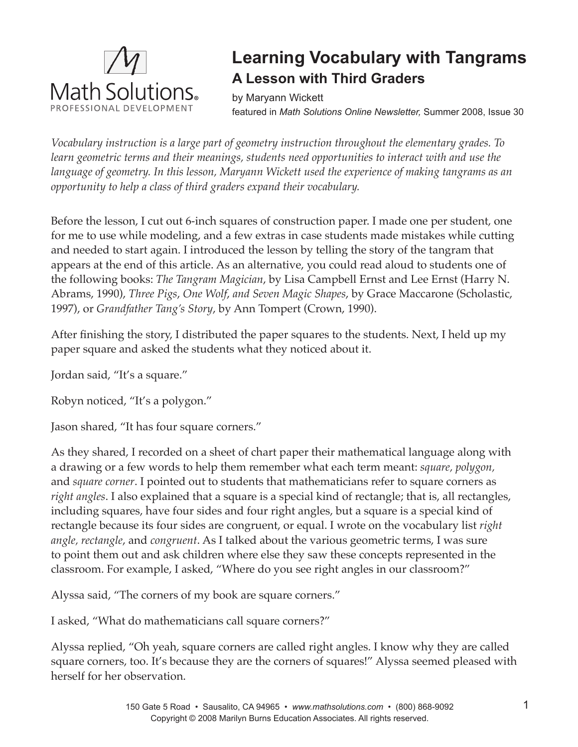

# **Learning Vocabulary with Tangrams A Lesson with Third Graders**

by Maryann Wickett featured in *Math Solutions Online Newsletter,* Summer 2008, Issue 30

*Vocabulary instruction is a large part of geometry instruction throughout the elementary grades. To learn geometric terms and their meanings, students need opportunities to interact with and use the language of geometry. In this lesson, Maryann Wickett used the experience of making tangrams as an opportunity to help a class of third graders expand their vocabulary.*

Before the lesson, I cut out 6-inch squares of construction paper. I made one per student, one for me to use while modeling, and a few extras in case students made mistakes while cutting and needed to start again. I introduced the lesson by telling the story of the tangram that appears at the end of this article. As an alternative, you could read aloud to students one of the following books: *The Tangram Magician*, by Lisa Campbell Ernst and Lee Ernst (Harry N. Abrams, 1990), *Three Pigs*, *One Wolf*, *and Seven Magic Shapes*, by Grace Maccarone (Scholastic, 1997), or *Grandfather Tang's Story*, by Ann Tompert (Crown, 1990).

After finishing the story, I distributed the paper squares to the students. Next, I held up my paper square and asked the students what they noticed about it.

Jordan said, "It's a square."

Robyn noticed, "It's a polygon."

Jason shared, "It has four square corners."

As they shared, I recorded on a sheet of chart paper their mathematical language along with a drawing or a few words to help them remember what each term meant: *square, polygon,*  and *square corner*. I pointed out to students that mathematicians refer to square corners as *right angles*. I also explained that a square is a special kind of rectangle; that is, all rectangles, including squares, have four sides and four right angles, but a square is a special kind of rectangle because its four sides are congruent, or equal. I wrote on the vocabulary list *right angle, rectangle*, and *congruent*. As I talked about the various geometric terms, I was sure to point them out and ask children where else they saw these concepts represented in the classroom. For example, I asked, "Where do you see right angles in our classroom?"

Alyssa said, "The corners of my book are square corners."

I asked, "What do mathematicians call square corners?"

Alyssa replied, "Oh yeah, square corners are called right angles. I know why they are called square corners, too. It's because they are the corners of squares!" Alyssa seemed pleased with herself for her observation.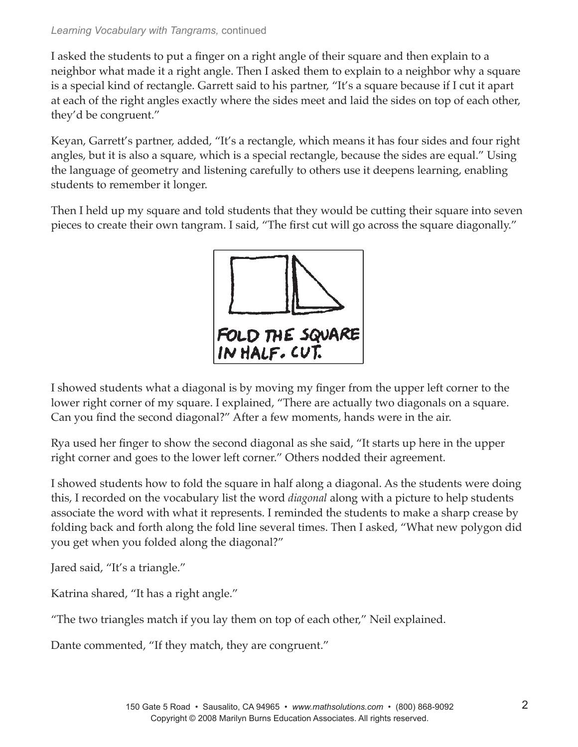## *Learning Vocabulary with Tangrams,* continued

I asked the students to put a finger on a right angle of their square and then explain to a neighbor what made it a right angle. Then I asked them to explain to a neighbor why a square is a special kind of rectangle. Garrett said to his partner, "It's a square because if I cut it apart at each of the right angles exactly where the sides meet and laid the sides on top of each other, they'd be congruent."

Keyan, Garrett's partner, added, "It's a rectangle, which means it has four sides and four right angles, but it is also a square, which is a special rectangle, because the sides are equal." Using the language of geometry and listening carefully to others use it deepens learning, enabling students to remember it longer.

Then I held up my square and told students that they would be cutting their square into seven pieces to create their own tangram. I said, "The first cut will go across the square diagonally."



I showed students what a diagonal is by moving my finger from the upper left corner to the lower right corner of my square. I explained, "There are actually two diagonals on a square. Can you find the second diagonal?" After a few moments, hands were in the air.

Rya used her finger to show the second diagonal as she said, "It starts up here in the upper right corner and goes to the lower left corner." Others nodded their agreement.

I showed students how to fold the square in half along a diagonal. As the students were doing this, I recorded on the vocabulary list the word *diagonal* along with a picture to help students associate the word with what it represents. I reminded the students to make a sharp crease by folding back and forth along the fold line several times. Then I asked, "What new polygon did you get when you folded along the diagonal?"

Jared said, "It's a triangle."

Katrina shared, "It has a right angle."

"The two triangles match if you lay them on top of each other," Neil explained.

Dante commented, "If they match, they are congruent."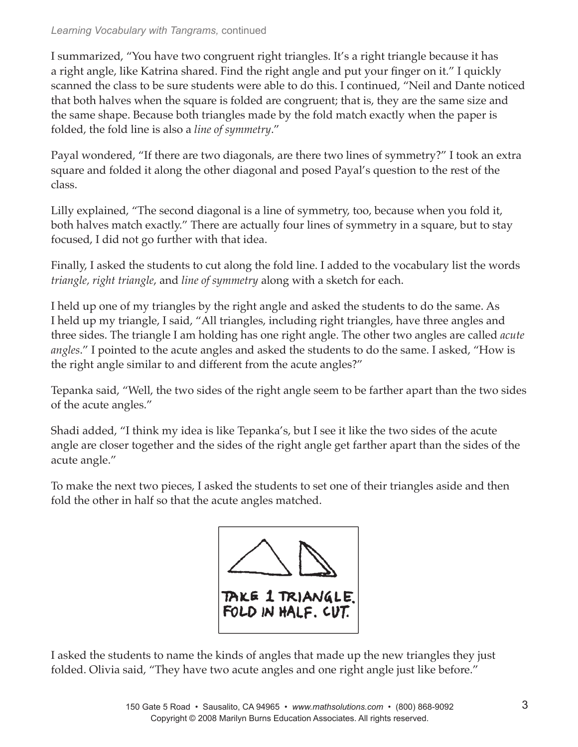## *Learning Vocabulary with Tangrams,* continued

I summarized, "You have two congruent right triangles. It's a right triangle because it has a right angle, like Katrina shared. Find the right angle and put your finger on it." I quickly scanned the class to be sure students were able to do this. I continued, "Neil and Dante noticed that both halves when the square is folded are congruent; that is, they are the same size and the same shape. Because both triangles made by the fold match exactly when the paper is folded, the fold line is also a *line of symmetry*."

Payal wondered, "If there are two diagonals, are there two lines of symmetry?" I took an extra square and folded it along the other diagonal and posed Payal's question to the rest of the class.

Lilly explained, "The second diagonal is a line of symmetry, too, because when you fold it, both halves match exactly." There are actually four lines of symmetry in a square, but to stay focused, I did not go further with that idea.

Finally, I asked the students to cut along the fold line. I added to the vocabulary list the words *triangle, right triangle*, and *line of symmetry* along with a sketch for each.

I held up one of my triangles by the right angle and asked the students to do the same. As I held up my triangle, I said, "All triangles, including right triangles, have three angles and three sides. The triangle I am holding has one right angle. The other two angles are called *acute angles*." I pointed to the acute angles and asked the students to do the same. I asked, "How is the right angle similar to and different from the acute angles?"

Tepanka said, "Well, the two sides of the right angle seem to be farther apart than the two sides of the acute angles."

Shadi added, "I think my idea is like Tepanka's, but I see it like the two sides of the acute angle are closer together and the sides of the right angle get farther apart than the sides of the acute angle."

To make the next two pieces, I asked the students to set one of their triangles aside and then fold the other in half so that the acute angles matched.



I asked the students to name the kinds of angles that made up the new triangles they just folded. Olivia said, "They have two acute angles and one right angle just like before."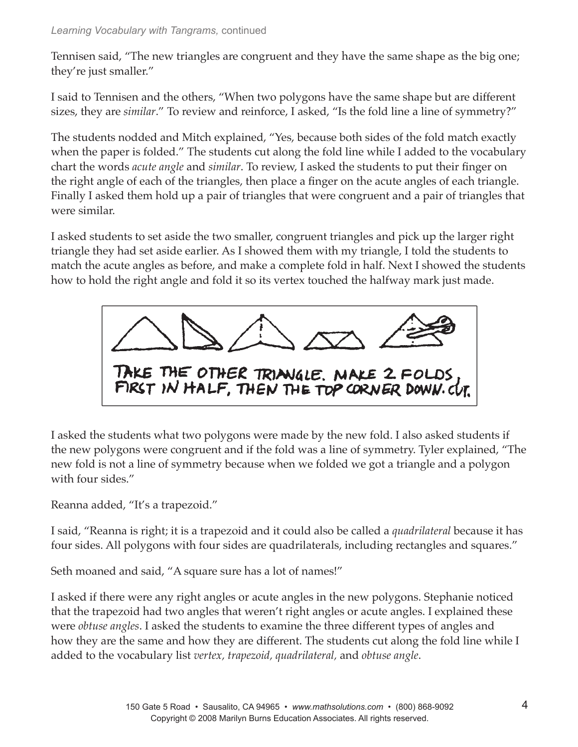Tennisen said, "The new triangles are congruent and they have the same shape as the big one; they're just smaller."

I said to Tennisen and the others, "When two polygons have the same shape but are different sizes, they are *similar*." To review and reinforce, I asked, "Is the fold line a line of symmetry?"

The students nodded and Mitch explained, "Yes, because both sides of the fold match exactly when the paper is folded." The students cut along the fold line while I added to the vocabulary chart the words *acute angle* and *similar*. To review, I asked the students to put their finger on the right angle of each of the triangles, then place a finger on the acute angles of each triangle. Finally I asked them hold up a pair of triangles that were congruent and a pair of triangles that were similar.

I asked students to set aside the two smaller, congruent triangles and pick up the larger right triangle they had set aside earlier. As I showed them with my triangle, I told the students to match the acute angles as before, and make a complete fold in half. Next I showed the students how to hold the right angle and fold it so its vertex touched the halfway mark just made.



I asked the students what two polygons were made by the new fold. I also asked students if the new polygons were congruent and if the fold was a line of symmetry. Tyler explained, "The new fold is not a line of symmetry because when we folded we got a triangle and a polygon with four sides."

Reanna added, "It's a trapezoid."

I said, "Reanna is right; it is a trapezoid and it could also be called a *quadrilateral* because it has four sides. All polygons with four sides are quadrilaterals, including rectangles and squares."

Seth moaned and said, "A square sure has a lot of names!"

I asked if there were any right angles or acute angles in the new polygons. Stephanie noticed that the trapezoid had two angles that weren't right angles or acute angles. I explained these were *obtuse angles*. I asked the students to examine the three different types of angles and how they are the same and how they are different. The students cut along the fold line while I added to the vocabulary list *vertex, trapezoid, quadrilateral,* and *obtuse angle*.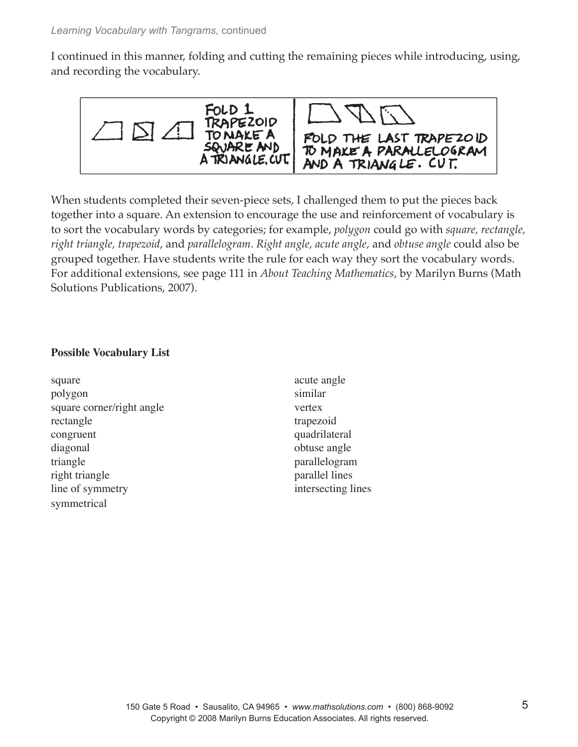I continued in this manner, folding and cutting the remaining pieces while introducing, using, and recording the vocabulary.



When students completed their seven-piece sets, I challenged them to put the pieces back together into a square. An extension to encourage the use and reinforcement of vocabulary is to sort the vocabulary words by categories; for example, *polygon* could go with *square, rectangle, right triangle, trapezoid*, and *parallelogram*. *Right angle, acute angle,* and *obtuse angle* could also be grouped together. Have students write the rule for each way they sort the vocabulary words. For additional extensions, see page 111 in *About Teaching Mathematics*, by Marilyn Burns (Math Solutions Publications, 2007).

# **Possible Vocabulary List**

| square                    | acute angle        |
|---------------------------|--------------------|
| polygon                   | similar            |
| square corner/right angle | vertex             |
| rectangle                 | trapezoid          |
| congruent                 | quadrilateral      |
| diagonal                  | obtuse angle       |
| triangle                  | parallelogram      |
| right triangle            | parallel lines     |
| line of symmetry          | intersecting lines |
| symmetrical               |                    |